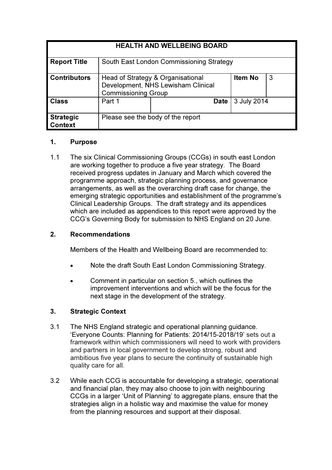| <b>HEALTH AND WELLBEING BOARD</b> |                                                                                                       |                                   |             |   |
|-----------------------------------|-------------------------------------------------------------------------------------------------------|-----------------------------------|-------------|---|
| <b>Report Title</b>               | South East London Commissioning Strategy                                                              |                                   |             |   |
| <b>Contributors</b>               | Head of Strategy & Organisational<br>Development, NHS Lewisham Clinical<br><b>Commissioning Group</b> |                                   | Item No     | 3 |
| <b>Class</b>                      | Part 1                                                                                                | Date                              | 3 July 2014 |   |
| <b>Strategic</b><br>Context       |                                                                                                       | Please see the body of the report |             |   |

### 1. Purpose

1.1 The six Clinical Commissioning Groups (CCGs) in south east London are working together to produce a five year strategy. The Board received progress updates in January and March which covered the programme approach, strategic planning process, and governance arrangements, as well as the overarching draft case for change, the emerging strategic opportunities and establishment of the programme's Clinical Leadership Groups. The draft strategy and its appendices which are included as appendices to this report were approved by the CCG's Governing Body for submission to NHS England on 20 June.

# 2. Recommendations

Members of the Health and Wellbeing Board are recommended to:

- Note the draft South East London Commissioning Strategy.
- Comment in particular on section 5., which outlines the improvement interventions and which will be the focus for the next stage in the development of the strategy.

# 3. Strategic Context

- 3.1 The NHS England strategic and operational planning guidance. 'Everyone Counts: Planning for Patients: 2014/15-2018/19' sets out a framework within which commissioners will need to work with providers and partners in local government to develop strong, robust and ambitious five year plans to secure the continuity of sustainable high quality care for all.
- 3.2 While each CCG is accountable for developing a strategic, operational and financial plan, they may also choose to join with neighbouring CCGs in a larger 'Unit of Planning' to aggregate plans, ensure that the strategies align in a holistic way and maximise the value for money from the planning resources and support at their disposal.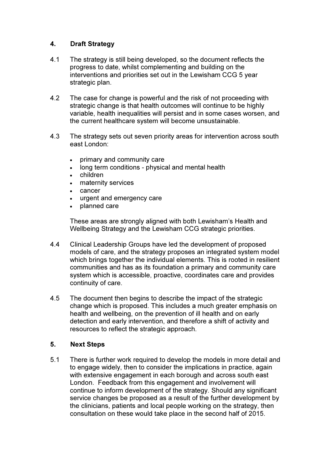# 4. Draft Strategy

- 4.1 The strategy is still being developed, so the document reflects the progress to date, whilst complementing and building on the interventions and priorities set out in the Lewisham CCG 5 year strategic plan.
- 4.2 The case for change is powerful and the risk of not proceeding with strategic change is that health outcomes will continue to be highly variable, health inequalities will persist and in some cases worsen, and the current healthcare system will become unsustainable.
- 4.3 The strategy sets out seven priority areas for intervention across south east London:
	- primary and community care
	- long term conditions physical and mental health
	- children
	- maternity services
	- cancer
	- urgent and emergency care
	- planned care

These areas are strongly aligned with both Lewisham's Health and Wellbeing Strategy and the Lewisham CCG strategic priorities.

- 4.4 Clinical Leadership Groups have led the development of proposed models of care, and the strategy proposes an integrated system model which brings together the individual elements. This is rooted in resilient communities and has as its foundation a primary and community care system which is accessible, proactive, coordinates care and provides continuity of care.
- 4.5 The document then begins to describe the impact of the strategic change which is proposed. This includes a much greater emphasis on health and wellbeing, on the prevention of ill health and on early detection and early intervention, and therefore a shift of activity and resources to reflect the strategic approach.

#### 5. Next Steps

5.1 There is further work required to develop the models in more detail and to engage widely, then to consider the implications in practice, again with extensive engagement in each borough and across south east London. Feedback from this engagement and involvement will continue to inform development of the strategy. Should any significant service changes be proposed as a result of the further development by the clinicians, patients and local people working on the strategy, then consultation on these would take place in the second half of 2015.